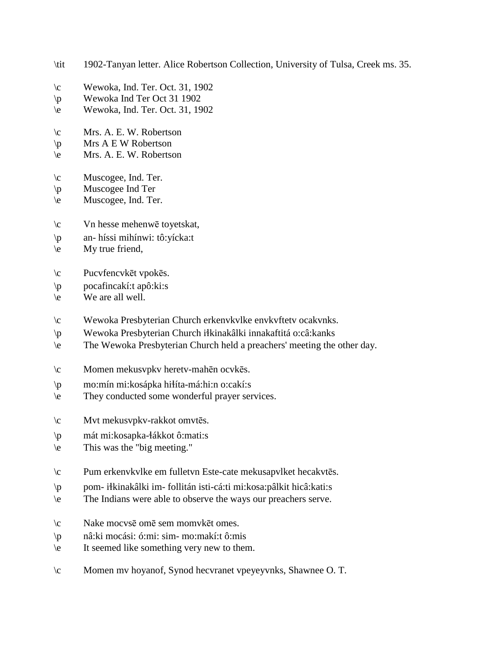- \tit 1902-Tanyan letter. Alice Robertson Collection, University of Tulsa, Creek ms. 35.
- $\c$  Wewoka, Ind. Ter. Oct. 31, 1902
- \p Wewoka Ind Ter Oct 31 1902
- \e Wewoka, Ind. Ter. Oct. 31, 1902
- \c Mrs. A. E. W. Robertson
- $\pmb{\varphi}$  Mrs A E W Robertson
- \e Mrs. A. E. W. Robertson
- \c Muscogee, Ind. Ter.
- \p Muscogee Ind Ter
- $\leq$  Muscogee, Ind. Ter.
- \c Vn hesse mehenwē toyetskat,
- \p an- híssi mihínwi: tô:yícka:t
- $\leq$  My true friend,
- \c Pucvfencvkēt vpokēs.
- $\pi$  pocafincakí:t apô:ki:s
- \e We are all well.
- \c Wewoka Presbyterian Church erkenvkvlke envkvftetv ocakvnks.
- \p Wewoka Presbyterian Church i!kinakâlki innakaftitá o:câ:kanks
- \e The Wewoka Presbyterian Church held a preachers' meeting the other day.
- \c Momen mekusvpkv heretv-mahēn ocvkēs.
- \p mo:mín mi:kosápka hi!íta-má:hi:n o:cakí:s
- \e They conducted some wonderful prayer services.
- \c Mvt mekusvpkv-rakkot omvtēs.
- \p mát mi:kosapka-!ákkot ô:mati:s
- \e This was the "big meeting."
- \c Pum erkenvkvlke em fulletvn Este-cate mekusapvlket hecakvtēs.
- \p pom- i!kinakâlki im- follitán isti-cá:ti mi:kosa:pâlkit hicâ:kati:s
- \e The Indians were able to observe the ways our preachers serve.
- \c Nake mocvsē omē sem momvkēt omes.
- \p nâ:ki mocási: ó:mi: sim- mo:makí:t ô:mis
- \e It seemed like something very new to them.
- \c Momen mv hoyanof, Synod hecvranet vpeyeyvnks, Shawnee O. T.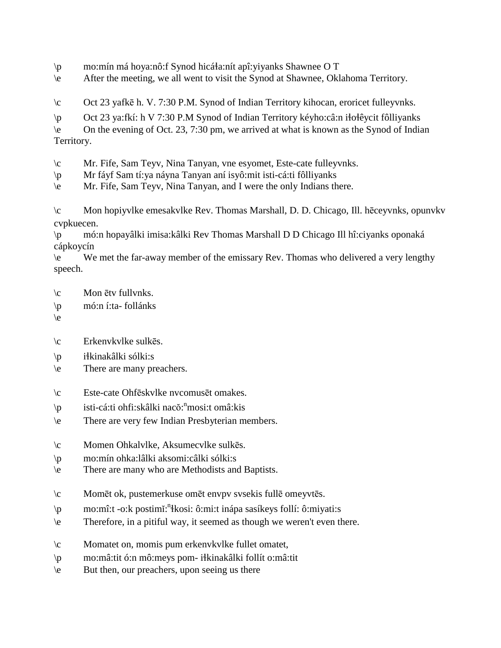$\pi$  mo:mín má hoya:nô:f Synod hicá $\pi$ a:nít apî: yiyanks Shawnee O T

\e After the meeting, we all went to visit the Synod at Shawnee, Oklahoma Territory.

\c Oct 23 yafkē h. V. 7:30 P.M. Synod of Indian Territory kihocan, eroricet fulleyvnks.

 $\pi$  Oct 23 ya:fkí: h V 7:30 P.M Synod of Indian Territory kéyho:câ:n iłołêycit fôlliyanks

\e On the evening of Oct. 23, 7:30 pm, we arrived at what is known as the Synod of Indian Territory.

\c Mr. Fife, Sam Teyv, Nina Tanyan, vne esyomet, Este-cate fulleyvnks.

\p Mr fáyf Sam tí:ya náyna Tanyan aní isyô:mit isti-cá:ti fôlliyanks

\e Mr. Fife, Sam Teyv, Nina Tanyan, and I were the only Indians there.

\c Mon hopiyvlke emesakvlke Rev. Thomas Marshall, D. D. Chicago, Ill. hēceyvnks, opunvkv cvpkuecen.

\p mó:n hopayâlki imisa:kâlki Rev Thomas Marshall D D Chicago Ill hî:ciyanks oponaká cápkoycín

\e We met the far-away member of the emissary Rev. Thomas who delivered a very lengthy speech.

- \c Mon ētv fullvnks.
- \p mó:n í:ta- follánks
- $\langle e \rangle$
- \c Erkenvkvlke sulkēs.
- $\pi$  iłkinakâlki sólki:s
- \e There are many preachers.
- \c Este-cate Ohfēskvlke nvcomusēt omakes.
- \p isti-cá:ti ohfi:skâlki nacŏ: n mosi:t omâ:kis
- \e There are very few Indian Presbyterian members.
- \c Momen Ohkalvlke, Aksumecvlke sulkēs.
- \p mo:mín ohka:lâlki aksomi:câlki sólki:s
- \e There are many who are Methodists and Baptists.
- \c Momēt ok, pustemerkuse omēt envpv svsekis fullē omeyvtēs.
- \p mo:mî:t -o:k postimĭ: n !kosi: ô:mi:t inápa sasíkeys follí: ô:miyati:s
- \e Therefore, in a pitiful way, it seemed as though we weren't even there.
- \c Momatet on, momis pum erkenvkvlke fullet omatet,
- \p mo:mâ:tit ó:n mô:meys pom- i!kinakâlki follít o:mâ:tit
- \e But then, our preachers, upon seeing us there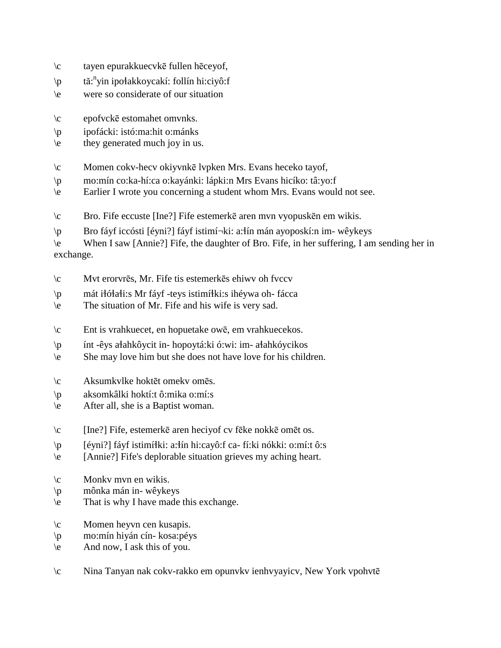- \c tayen epurakkuecvkē fullen hēceyof,
- \p tă:<sup>n</sup>yin ipołakkoycakí: follín hi:ciyô:f
- \e were so considerate of our situation
- \c epofvckē estomahet omvnks.
- \p ipofácki: istó:ma:hit o:mánks
- \e they generated much joy in us.
- \c Momen cokv-hecv okiyvnkē lvpken Mrs. Evans heceko tayof,
- \p mo:mín co:ka-hí:ca o:kayánki: lápki:n Mrs Evans hicíko: tâ:yo:f
- \e Earlier I wrote you concerning a student whom Mrs. Evans would not see.
- \c Bro. Fife eccuste [Ine?] Fife estemerkē aren mvn vyopuskēn em wikis.
- \p Bro fáyf iccósti [éyni?] fáyf istimí¬ki: a:!ín mán ayoposkí:n im- wêykeys

\e When I saw [Annie?] Fife, the daughter of Bro. Fife, in her suffering, I am sending her in exchange.

- \c Mvt erorvrēs, Mr. Fife tis estemerkēs ehiwv oh fvccv
- \p mát i!ó!a!i:s Mr fáyf -teys istimí!ki:s ihéywa oh- fácca
- \e The situation of Mr. Fife and his wife is very sad.
- \c Ent is vrahkuecet, en hopuetake owē, em vrahkuecekos.
- \p ínt -êys a!ahkôycit in- hopoytá:ki ó:wi: im- a!ahkóycikos
- \e She may love him but she does not have love for his children.
- \c Aksumkvlke hoktēt omekv omēs.
- \p aksomkâlki hoktí:t ô:mika o:mí:s
- \e After all, she is a Baptist woman.
- \c [Ine?] Fife, estemerkē aren heciyof cv fēke nokkē omēt os.
- \p [éyni?] fáyf istimí!ki: a:!ín hi:cayô:f ca- fí:ki nókki: o:mí:t ô:s
- \e [Annie?] Fife's deplorable situation grieves my aching heart.
- \c Monkv mvn en wikis.
- \p mônka mán in- wêykeys
- \e That is why I have made this exchange.
- \c Momen heyvn cen kusapis.
- \p mo:mín hiyán cín- kosa:péys
- \e And now, I ask this of you.
- \c Nina Tanyan nak cokv-rakko em opunvkv ienhvyayicv, New York vpohvtē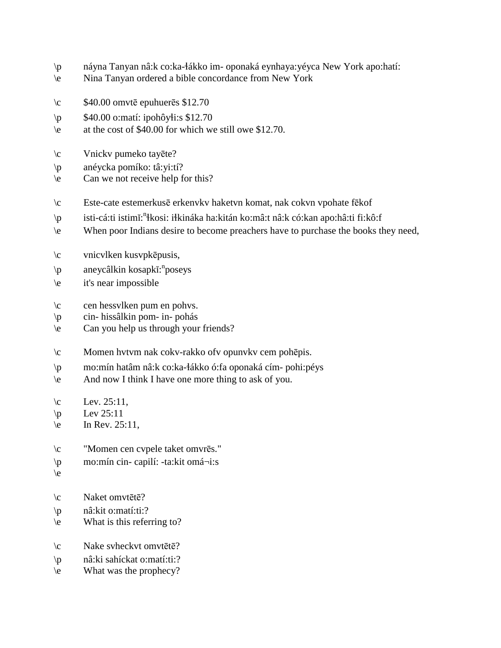- \p náyna Tanyan nâ:k co:ka-!ákko im- oponaká eynhaya:yéyca New York apo:hatí:
- \e Nina Tanyan ordered a bible concordance from New York
- $\c$  \$40.00 omvtē epuhuerēs \$12.70
- $\pmb{\text{p}}$  \$40.00 o:matí: ipohôyti:s \$12.70
- \e at the cost of \$40.00 for which we still owe \$12.70.
- \c Vnickv pumeko tayēte?
- \p anéycka pomíko: tâ:yi:tí?
- \e Can we not receive help for this?
- \c Este-cate estemerkusē erkenvkv haketvn komat, nak cokvn vpohate fēkof
- \p isti-cá:ti istimĭ: n !kosi: i!kináka ha:kitán ko:mâ:t nâ:k có:kan apo:hâ:ti fi:kô:f
- \e When poor Indians desire to become preachers have to purchase the books they need,
- \c vnicvlken kusvpkēpusis,
- \p aneycâlkin kosapkĭ: n poseys
- \e it's near impossible
- \c cen hessvlken pum en pohvs.
- \p cin- hissâlkin pom- in- pohás
- \e Can you help us through your friends?
- \c Momen hvtvm nak cokv-rakko ofv opunvkv cem pohēpis.
- \p mo:mín hatâm nâ:k co:ka-!ákko ó:fa oponaká cím- pohi:péys
- \e And now I think I have one more thing to ask of you.
- $\text{Lev. } 25:11$ ,
- $\vert$ p Lev 25:11
- $\text{e}$  In Rev. 25:11,
- \c "Momen cen cvpele taket omvrēs."
- \p mo:mín cin- capilí: -ta:kit omá¬i:s
- \e
- \c Naket omvtētē?
- \p nâ:kit o:matí:ti:?
- \e What is this referring to?
- \c Nake svheckvt omvtētē?
- \p nâ:ki sahíckat o:matí:ti:?
- \e What was the prophecy?